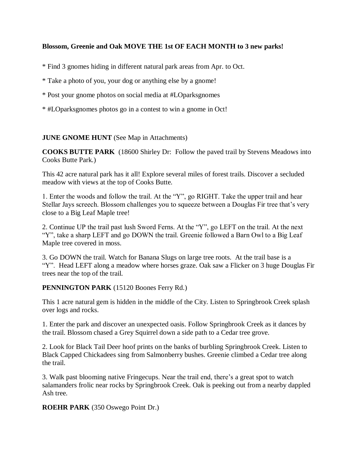## **Blossom, Greenie and Oak MOVE THE 1st OF EACH MONTH to 3 new parks!**

\* Find 3 gnomes hiding in different natural park areas from Apr. to Oct.

\* Take a photo of you, your dog or anything else by a gnome!

- \* Post your gnome photos on social media at #LOparksgnomes
- \* #LOparksgnomes photos go in a contest to win a gnome in Oct!

## **JUNE GNOME HUNT** (See Map in Attachments)

**COOKS BUTTE PARK** (18600 Shirley Dr: Follow the paved trail by Stevens Meadows into Cooks Butte Park.)

This 42 acre natural park has it all! Explore several miles of forest trails. Discover a secluded meadow with views at the top of Cooks Butte.

1. Enter the woods and follow the trail. At the "Y", go RIGHT. Take the upper trail and hear Stellar Jays screech. Blossom challenges you to squeeze between a Douglas Fir tree that's very close to a Big Leaf Maple tree!

2. Continue UP the trail past lush Sword Ferns. At the "Y", go LEFT on the trail. At the next "Y", take a sharp LEFT and go DOWN the trail. Greenie followed a Barn Owl to a Big Leaf Maple tree covered in moss.

3. Go DOWN the trail. Watch for Banana Slugs on large tree roots. At the trail base is a "Y". Head LEFT along a meadow where horses graze. Oak saw a Flicker on 3 huge Douglas Fir trees near the top of the trail.

## **PENNINGTON PARK** (15120 Boones Ferry Rd.)

This 1 acre natural gem is hidden in the middle of the City. Listen to Springbrook Creek splash over logs and rocks.

1. Enter the park and discover an unexpected oasis. Follow Springbrook Creek as it dances by the trail. Blossom chased a Grey Squirrel down a side path to a Cedar tree grove.

2. Look for Black Tail Deer hoof prints on the banks of burbling Springbrook Creek. Listen to Black Capped Chickadees sing from Salmonberry bushes. Greenie climbed a Cedar tree along the trail.

3. Walk past blooming native Fringecups. Near the trail end, there's a great spot to watch salamanders frolic near rocks by Springbrook Creek. Oak is peeking out from a nearby dappled Ash tree.

**ROEHR PARK** (350 Oswego Point Dr.)